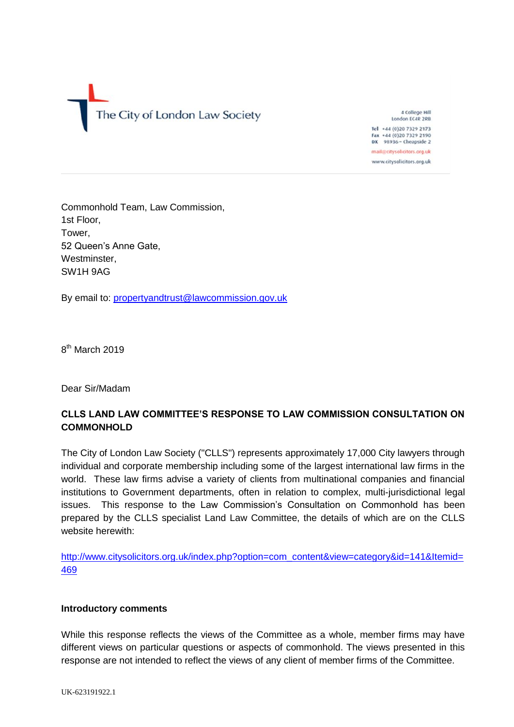The City of London Law Society

4 College Hill London EC4R 2RB Tel +44 (0)20 7329 2173 Fax +44 (0)20 7329 2190 DX 98936 - Cheapside 2

mail@citysolicitors.org.uk www.citysolicitors.org.uk

Commonhold Team, Law Commission, 1st Floor, Tower, 52 Queen's Anne Gate, Westminster, SW1H 9AG

By email to: [propertyandtrust@lawcommission.gov.uk](mailto:propertyandtrust@lawcommission.gov.uk)

8<sup>th</sup> March 2019

Dear Sir/Madam

# **CLLS LAND LAW COMMITTEE'S RESPONSE TO LAW COMMISSION CONSULTATION ON COMMONHOLD**

The City of London Law Society ("CLLS") represents approximately 17,000 City lawyers through individual and corporate membership including some of the largest international law firms in the world. These law firms advise a variety of clients from multinational companies and financial institutions to Government departments, often in relation to complex, multi-jurisdictional legal issues. This response to the Law Commission's Consultation on Commonhold has been prepared by the CLLS specialist Land Law Committee, the details of which are on the CLLS website herewith:

[http://www.citysolicitors.org.uk/index.php?option=com\\_content&view=category&id=141&Itemid=](http://www.citysolicitors.org.uk/index.php?option=com_content&view=category&id=141&Itemid=469) [469](http://www.citysolicitors.org.uk/index.php?option=com_content&view=category&id=141&Itemid=469)

### **Introductory comments**

While this response reflects the views of the Committee as a whole, member firms may have different views on particular questions or aspects of commonhold. The views presented in this response are not intended to reflect the views of any client of member firms of the Committee.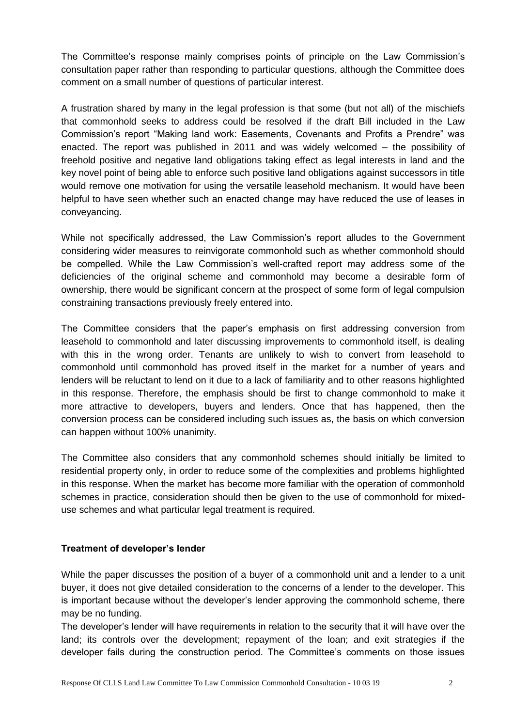The Committee's response mainly comprises points of principle on the Law Commission's consultation paper rather than responding to particular questions, although the Committee does comment on a small number of questions of particular interest.

A frustration shared by many in the legal profession is that some (but not all) of the mischiefs that commonhold seeks to address could be resolved if the draft Bill included in the Law Commission's report "Making land work: Easements, Covenants and Profits a Prendre" was enacted. The report was published in 2011 and was widely welcomed – the possibility of freehold positive and negative land obligations taking effect as legal interests in land and the key novel point of being able to enforce such positive land obligations against successors in title would remove one motivation for using the versatile leasehold mechanism. It would have been helpful to have seen whether such an enacted change may have reduced the use of leases in conveyancing.

While not specifically addressed, the Law Commission's report alludes to the Government considering wider measures to reinvigorate commonhold such as whether commonhold should be compelled. While the Law Commission's well-crafted report may address some of the deficiencies of the original scheme and commonhold may become a desirable form of ownership, there would be significant concern at the prospect of some form of legal compulsion constraining transactions previously freely entered into.

The Committee considers that the paper's emphasis on first addressing conversion from leasehold to commonhold and later discussing improvements to commonhold itself, is dealing with this in the wrong order. Tenants are unlikely to wish to convert from leasehold to commonhold until commonhold has proved itself in the market for a number of years and lenders will be reluctant to lend on it due to a lack of familiarity and to other reasons highlighted in this response. Therefore, the emphasis should be first to change commonhold to make it more attractive to developers, buyers and lenders. Once that has happened, then the conversion process can be considered including such issues as, the basis on which conversion can happen without 100% unanimity.

The Committee also considers that any commonhold schemes should initially be limited to residential property only, in order to reduce some of the complexities and problems highlighted in this response. When the market has become more familiar with the operation of commonhold schemes in practice, consideration should then be given to the use of commonhold for mixeduse schemes and what particular legal treatment is required.

# **Treatment of developer's lender**

While the paper discusses the position of a buyer of a commonhold unit and a lender to a unit buyer, it does not give detailed consideration to the concerns of a lender to the developer. This is important because without the developer's lender approving the commonhold scheme, there may be no funding.

The developer's lender will have requirements in relation to the security that it will have over the land; its controls over the development; repayment of the loan; and exit strategies if the developer fails during the construction period. The Committee's comments on those issues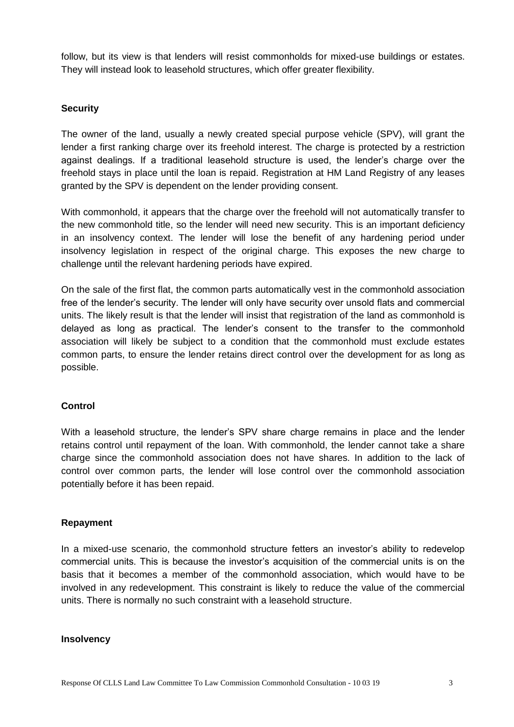follow, but its view is that lenders will resist commonholds for mixed-use buildings or estates. They will instead look to leasehold structures, which offer greater flexibility.

# **Security**

The owner of the land, usually a newly created special purpose vehicle (SPV), will grant the lender a first ranking charge over its freehold interest. The charge is protected by a restriction against dealings. If a traditional leasehold structure is used, the lender's charge over the freehold stays in place until the loan is repaid. Registration at HM Land Registry of any leases granted by the SPV is dependent on the lender providing consent.

With commonhold, it appears that the charge over the freehold will not automatically transfer to the new commonhold title, so the lender will need new security. This is an important deficiency in an insolvency context. The lender will lose the benefit of any hardening period under insolvency legislation in respect of the original charge. This exposes the new charge to challenge until the relevant hardening periods have expired.

On the sale of the first flat, the common parts automatically vest in the commonhold association free of the lender's security. The lender will only have security over unsold flats and commercial units. The likely result is that the lender will insist that registration of the land as commonhold is delayed as long as practical. The lender's consent to the transfer to the commonhold association will likely be subject to a condition that the commonhold must exclude estates common parts, to ensure the lender retains direct control over the development for as long as possible.

# **Control**

With a leasehold structure, the lender's SPV share charge remains in place and the lender retains control until repayment of the loan. With commonhold, the lender cannot take a share charge since the commonhold association does not have shares. In addition to the lack of control over common parts, the lender will lose control over the commonhold association potentially before it has been repaid.

# **Repayment**

In a mixed-use scenario, the commonhold structure fetters an investor's ability to redevelop commercial units. This is because the investor's acquisition of the commercial units is on the basis that it becomes a member of the commonhold association, which would have to be involved in any redevelopment. This constraint is likely to reduce the value of the commercial units. There is normally no such constraint with a leasehold structure.

### **Insolvency**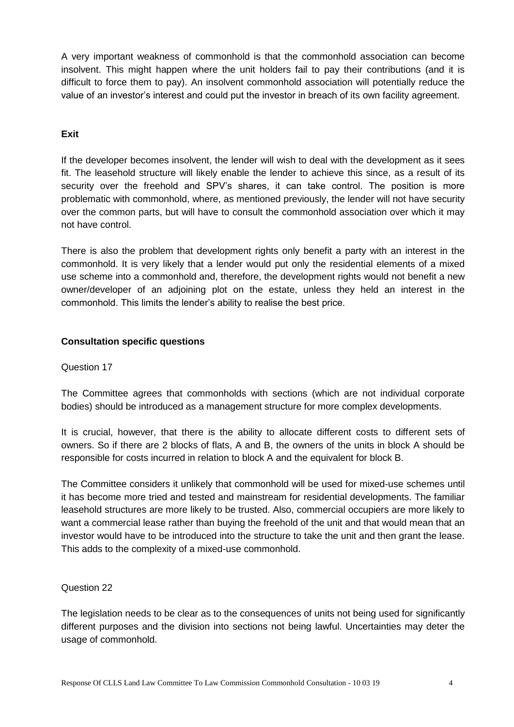A very important weakness of commonhold is that the commonhold association can become insolvent. This might happen where the unit holders fail to pay their contributions (and it is difficult to force them to pay). An insolvent commonhold association will potentially reduce the value of an investor's interest and could put the investor in breach of its own facility agreement.

# **Exit**

If the developer becomes insolvent, the lender will wish to deal with the development as it sees fit. The leasehold structure will likely enable the lender to achieve this since, as a result of its security over the freehold and SPV's shares, it can take control. The position is more problematic with commonhold, where, as mentioned previously, the lender will not have security over the common parts, but will have to consult the commonhold association over which it may not have control.

There is also the problem that development rights only benefit a party with an interest in the commonhold. It is very likely that a lender would put only the residential elements of a mixed use scheme into a commonhold and, therefore, the development rights would not benefit a new owner/developer of an adjoining plot on the estate, unless they held an interest in the commonhold. This limits the lender's ability to realise the best price.

# **Consultation specific questions**

### Question 17

The Committee agrees that commonholds with sections (which are not individual corporate bodies) should be introduced as a management structure for more complex developments.

It is crucial, however, that there is the ability to allocate different costs to different sets of owners. So if there are 2 blocks of flats, A and B, the owners of the units in block A should be responsible for costs incurred in relation to block A and the equivalent for block B.

The Committee considers it unlikely that commonhold will be used for mixed-use schemes until it has become more tried and tested and mainstream for residential developments. The familiar leasehold structures are more likely to be trusted. Also, commercial occupiers are more likely to want a commercial lease rather than buying the freehold of the unit and that would mean that an investor would have to be introduced into the structure to take the unit and then grant the lease. This adds to the complexity of a mixed-use commonhold.

# Question 22

The legislation needs to be clear as to the consequences of units not being used for significantly different purposes and the division into sections not being lawful. Uncertainties may deter the usage of commonhold.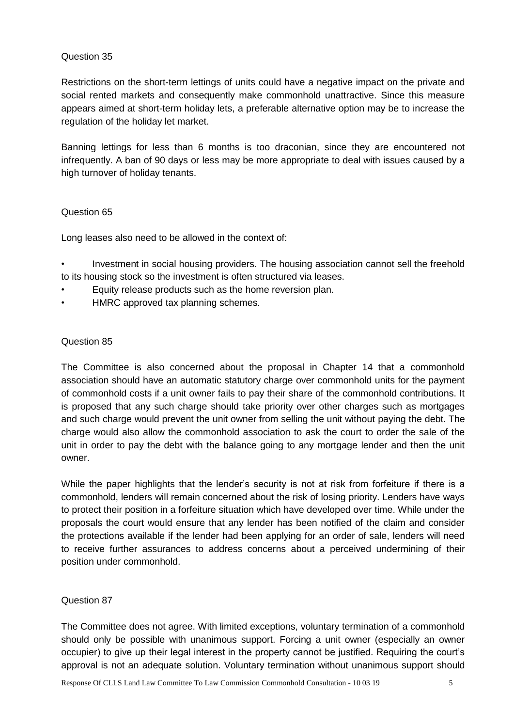# Question 35

Restrictions on the short-term lettings of units could have a negative impact on the private and social rented markets and consequently make commonhold unattractive. Since this measure appears aimed at short-term holiday lets, a preferable alternative option may be to increase the regulation of the holiday let market.

Banning lettings for less than 6 months is too draconian, since they are encountered not infrequently. A ban of 90 days or less may be more appropriate to deal with issues caused by a high turnover of holiday tenants.

# Question 65

Long leases also need to be allowed in the context of:

• Investment in social housing providers. The housing association cannot sell the freehold to its housing stock so the investment is often structured via leases.

- Equity release products such as the home reversion plan.
- HMRC approved tax planning schemes.

# Question 85

The Committee is also concerned about the proposal in Chapter 14 that a commonhold association should have an automatic statutory charge over commonhold units for the payment of commonhold costs if a unit owner fails to pay their share of the commonhold contributions. It is proposed that any such charge should take priority over other charges such as mortgages and such charge would prevent the unit owner from selling the unit without paying the debt. The charge would also allow the commonhold association to ask the court to order the sale of the unit in order to pay the debt with the balance going to any mortgage lender and then the unit owner.

While the paper highlights that the lender's security is not at risk from forfeiture if there is a commonhold, lenders will remain concerned about the risk of losing priority. Lenders have ways to protect their position in a forfeiture situation which have developed over time. While under the proposals the court would ensure that any lender has been notified of the claim and consider the protections available if the lender had been applying for an order of sale, lenders will need to receive further assurances to address concerns about a perceived undermining of their position under commonhold.

# Question 87

The Committee does not agree. With limited exceptions, voluntary termination of a commonhold should only be possible with unanimous support. Forcing a unit owner (especially an owner occupier) to give up their legal interest in the property cannot be justified. Requiring the court's approval is not an adequate solution. Voluntary termination without unanimous support should